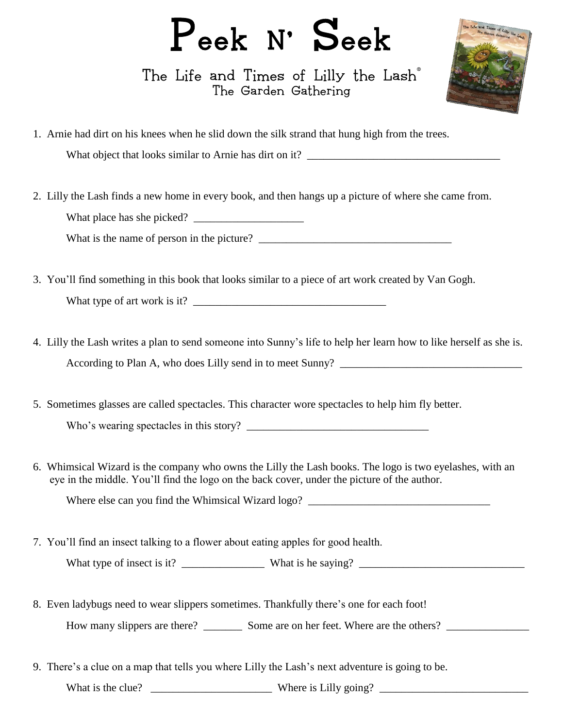## Peek N' Seek

The Life and Times of Lilly the Lash<sup>®</sup> The Garden Gathering



1. Arnie had dirt on his knees when he slid down the silk strand that hung high from the trees.

What object that looks similar to Arnie has dirt on it? \_\_\_\_\_\_\_\_\_\_\_\_\_\_\_\_\_\_\_\_\_\_\_\_\_\_\_\_\_\_\_\_\_\_\_

2. Lilly the Lash finds a new home in every book, and then hangs up a picture of where she came from. What place has she picked? \_\_\_\_\_\_\_\_\_\_\_\_\_\_\_\_\_\_\_\_

What is the name of person in the picture?

- 3. You'll find something in this book that looks similar to a piece of art work created by Van Gogh. What type of art work is it? \_\_\_\_\_\_\_\_\_\_\_\_\_\_\_\_\_\_\_\_\_\_\_\_\_\_\_\_\_\_\_\_\_\_\_
- 4. Lilly the Lash writes a plan to send someone into Sunny's life to help her learn how to like herself as she is. According to Plan A, who does Lilly send in to meet Sunny? \_\_\_\_\_\_\_\_\_\_\_\_\_\_\_\_\_\_\_\_\_\_\_\_\_\_\_\_\_\_\_\_\_
- 5. Sometimes glasses are called spectacles. This character wore spectacles to help him fly better. Who's wearing spectacles in this story? \_\_\_\_\_\_\_\_\_\_\_\_\_\_\_\_\_\_\_\_\_\_\_\_\_\_\_\_\_\_\_\_\_
- 6. Whimsical Wizard is the company who owns the Lilly the Lash books. The logo is two eyelashes, with an eye in the middle. You'll find the logo on the back cover, under the picture of the author.

Where else can you find the Whimsical Wizard logo?

7. You'll find an insect talking to a flower about eating apples for good health.

What type of insect is it? \_\_\_\_\_\_\_\_\_\_\_\_\_\_\_ What is he saying? \_\_\_\_\_\_\_\_\_\_\_\_\_\_\_\_\_\_\_\_\_\_\_\_\_\_\_\_\_\_

8. Even ladybugs need to wear slippers sometimes. Thankfully there's one for each foot!

How many slippers are there? Some are on her feet. Where are the others?

9. There's a clue on a map that tells you where Lilly the Lash's next adventure is going to be.

What is the clue? Where is Lilly going?